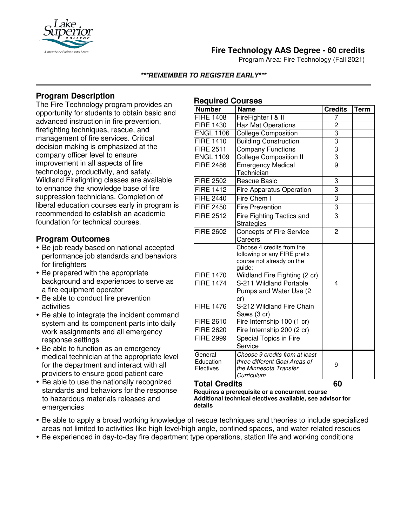

## **Fire Technology AAS Degree - 60 credits**

Program Area: Fire Technology (Fall 2021)

#### **\*\*\*REMEMBER TO REGISTER EARLY\*\*\***

**Required Courses**

## **Program Description**

The Fire Technology program provides an opportunity for students to obtain basic and advanced instruction in fire prevention, firefighting techniques, rescue, and management of fire services. Critical decision making is emphasized at the company officer level to ensure improvement in all aspects of fire technology, productivity, and safety. Wildland Firefighting classes are available to enhance the knowledge base of fire suppression technicians. Completion of liberal education courses early in program is recommended to establish an academic foundation for technical courses.

### **Program Outcomes**

- Be job ready based on national accepted performance job standards and behaviors for firefighters
- Be prepared with the appropriate background and experiences to serve as a fire equipment operator
- Be able to conduct fire prevention activities
- Be able to integrate the incident command system and its component parts into daily work assignments and all emergency response settings
- Be able to function as an emergency medical technician at the appropriate level for the department and interact with all providers to ensure good patient care
- Be able to use the nationally recognized standards and behaviors for the response to hazardous materials releases and emergencies

| <b>Number</b>                                                                                                        | Name                                                                                                                                                                                                                                                                                                                                        | <b>Credits</b> | Term |
|----------------------------------------------------------------------------------------------------------------------|---------------------------------------------------------------------------------------------------------------------------------------------------------------------------------------------------------------------------------------------------------------------------------------------------------------------------------------------|----------------|------|
| <b>FIRE 1408</b>                                                                                                     | FireFighter I & II                                                                                                                                                                                                                                                                                                                          |                |      |
| <b>FIRE 1430</b>                                                                                                     | <b>Haz Mat Operations</b>                                                                                                                                                                                                                                                                                                                   | $\overline{c}$ |      |
| <b>ENGL 1106</b>                                                                                                     | <b>College Composition</b>                                                                                                                                                                                                                                                                                                                  | $\overline{3}$ |      |
| <b>FIRE 1410</b>                                                                                                     | <b>Building Construction</b>                                                                                                                                                                                                                                                                                                                | $\overline{3}$ |      |
| <b>FIRE 2511</b>                                                                                                     | <b>Company Functions</b>                                                                                                                                                                                                                                                                                                                    | $\overline{3}$ |      |
| <b>ENGL 1109</b>                                                                                                     | <b>College Composition II</b>                                                                                                                                                                                                                                                                                                               | $\overline{3}$ |      |
| <b>FIRE 2486</b>                                                                                                     | <b>Emergency Medical</b><br>Technician                                                                                                                                                                                                                                                                                                      | $\overline{9}$ |      |
| <b>FIRE 2502</b>                                                                                                     | <b>Rescue Basic</b>                                                                                                                                                                                                                                                                                                                         | 3              |      |
| <b>FIRE 1412</b>                                                                                                     | Fire Apparatus Operation                                                                                                                                                                                                                                                                                                                    | $\overline{3}$ |      |
| <b>FIRE 2440</b>                                                                                                     | Fire Chem I                                                                                                                                                                                                                                                                                                                                 | $\overline{3}$ |      |
| <b>FIRE 2450</b>                                                                                                     | <b>Fire Prevention</b>                                                                                                                                                                                                                                                                                                                      | 3              |      |
| <b>FIRE 2512</b>                                                                                                     | Fire Fighting Tactics and<br>Strategies                                                                                                                                                                                                                                                                                                     | 3              |      |
| <b>FIRE 2602</b>                                                                                                     | <b>Concepts of Fire Service</b><br>Careers                                                                                                                                                                                                                                                                                                  | 2              |      |
| <b>FIRE 1470</b><br><b>FIRE 1474</b><br><b>FIRE 1476</b><br><b>FIRE 2610</b><br><b>FIRE 2620</b><br><b>FIRE 2999</b> | Choose 4 credits from the<br>following or any FIRE prefix<br>course not already on the<br>guide:<br>Wildland Fire Fighting (2 cr)<br>S-211 Wildland Portable<br>Pumps and Water Use (2)<br>cr)<br>S-212 Wildland Fire Chain<br>Saws (3 cr)<br>Fire Internship 100 (1 cr)<br>Fire Internship 200 (2 cr)<br>Special Topics in Fire<br>Service | 4              |      |
| General<br>Education<br>Electives                                                                                    | Choose 9 credits from at least<br>three different Goal Areas of<br>the Minnesota Transfer<br>Curriculum                                                                                                                                                                                                                                     | 9              |      |

#### **Total Credits 60**

**Requires a prerequisite or a concurrent course Additional technical electives available, see advisor for details**

- Be able to apply a broad working knowledge of rescue techniques and theories to include specialized areas not limited to activities like high level/high angle, confined spaces, and water related rescues
- Be experienced in day-to-day fire department type operations, station life and working conditions